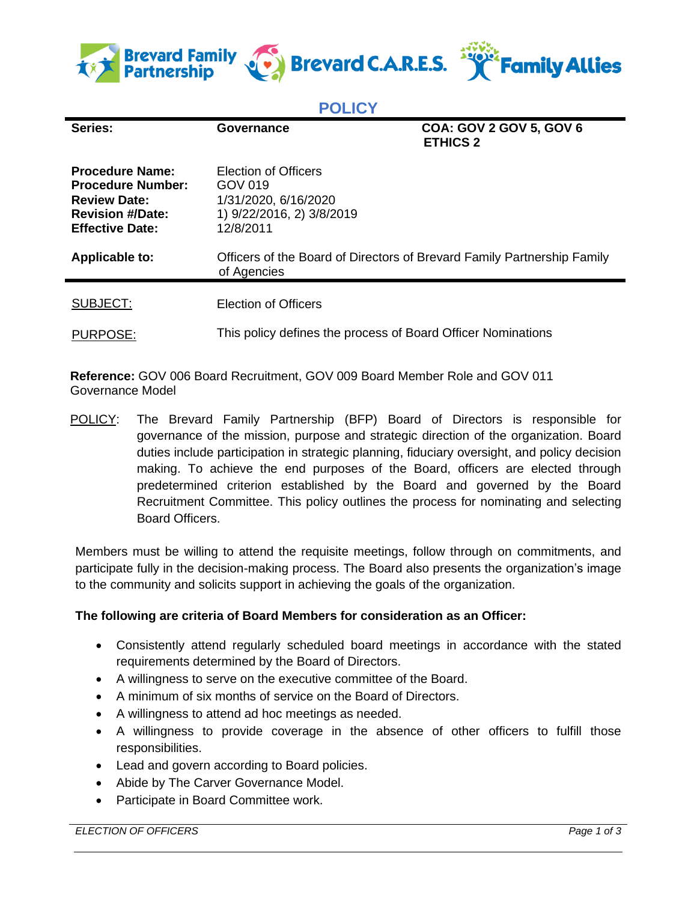

## **POLICY**

| Series:                                                                                                                        | Governance                                                                                        | <b>COA: GOV 2 GOV 5, GOV 6</b><br><b>ETHICS 2</b> |
|--------------------------------------------------------------------------------------------------------------------------------|---------------------------------------------------------------------------------------------------|---------------------------------------------------|
| <b>Procedure Name:</b><br><b>Procedure Number:</b><br><b>Review Date:</b><br><b>Revision #/Date:</b><br><b>Effective Date:</b> | Election of Officers<br>GOV 019<br>1/31/2020, 6/16/2020<br>1) 9/22/2016, 2) 3/8/2019<br>12/8/2011 |                                                   |
| Applicable to:                                                                                                                 | Officers of the Board of Directors of Brevard Family Partnership Family<br>of Agencies            |                                                   |
| SUBJECT:                                                                                                                       | <b>Election of Officers</b>                                                                       |                                                   |
| <b>PURPOSE:</b>                                                                                                                | This policy defines the process of Board Officer Nominations                                      |                                                   |

**Reference:** GOV 006 Board Recruitment, GOV 009 Board Member Role and GOV 011 Governance Model

POLICY: The Brevard Family Partnership (BFP) Board of Directors is responsible for governance of the mission, purpose and strategic direction of the organization. Board duties include participation in strategic planning, fiduciary oversight, and policy decision making. To achieve the end purposes of the Board, officers are elected through predetermined criterion established by the Board and governed by the Board Recruitment Committee. This policy outlines the process for nominating and selecting Board Officers.

Members must be willing to attend the requisite meetings, follow through on commitments, and participate fully in the decision-making process. The Board also presents the organization's image to the community and solicits support in achieving the goals of the organization.

## **The following are criteria of Board Members for consideration as an Officer:**

- Consistently attend regularly scheduled board meetings in accordance with the stated requirements determined by the Board of Directors.
- A willingness to serve on the executive committee of the Board.
- A minimum of six months of service on the Board of Directors.
- A willingness to attend ad hoc meetings as needed.
- A willingness to provide coverage in the absence of other officers to fulfill those responsibilities.
- Lead and govern according to Board policies.
- Abide by The Carver Governance Model.
- Participate in Board Committee work.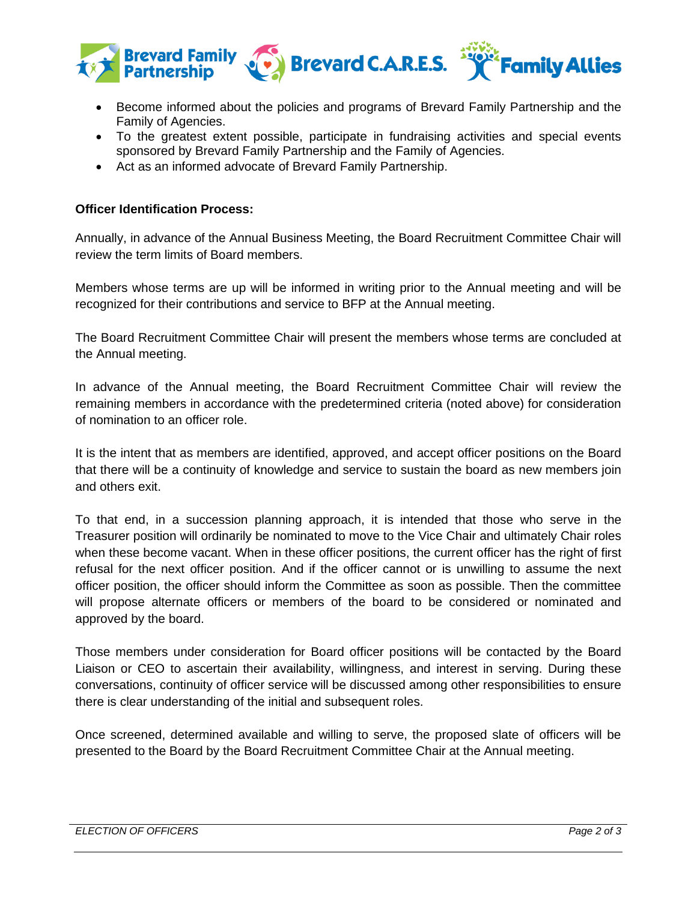

- Become informed about the policies and programs of Brevard Family Partnership and the Family of Agencies.
- To the greatest extent possible, participate in fundraising activities and special events sponsored by Brevard Family Partnership and the Family of Agencies.
- Act as an informed advocate of Brevard Family Partnership.

## **Officer Identification Process:**

Annually, in advance of the Annual Business Meeting, the Board Recruitment Committee Chair will review the term limits of Board members.

Members whose terms are up will be informed in writing prior to the Annual meeting and will be recognized for their contributions and service to BFP at the Annual meeting.

The Board Recruitment Committee Chair will present the members whose terms are concluded at the Annual meeting.

In advance of the Annual meeting, the Board Recruitment Committee Chair will review the remaining members in accordance with the predetermined criteria (noted above) for consideration of nomination to an officer role.

It is the intent that as members are identified, approved, and accept officer positions on the Board that there will be a continuity of knowledge and service to sustain the board as new members join and others exit.

To that end, in a succession planning approach, it is intended that those who serve in the Treasurer position will ordinarily be nominated to move to the Vice Chair and ultimately Chair roles when these become vacant. When in these officer positions, the current officer has the right of first refusal for the next officer position. And if the officer cannot or is unwilling to assume the next officer position, the officer should inform the Committee as soon as possible. Then the committee will propose alternate officers or members of the board to be considered or nominated and approved by the board.

Those members under consideration for Board officer positions will be contacted by the Board Liaison or CEO to ascertain their availability, willingness, and interest in serving. During these conversations, continuity of officer service will be discussed among other responsibilities to ensure there is clear understanding of the initial and subsequent roles.

Once screened, determined available and willing to serve, the proposed slate of officers will be presented to the Board by the Board Recruitment Committee Chair at the Annual meeting.